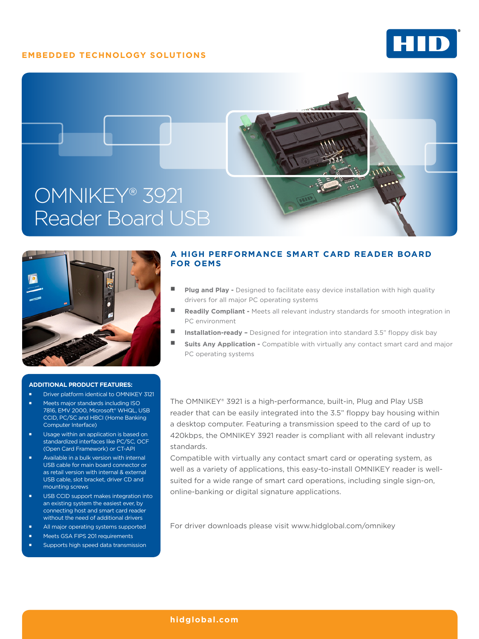## **EMBEDDED TECHNOLOGY SOLUTIONS**







## **ADDITIONAL PRODUCT FEATURES:**

- Driver platform identical to OMNIKEY 3121
- **Meets major standards including ISO** 7816, EMV 2000, Microsoft® WHQL, USB CCID, PC/SC and HBCI (Home Banking Computer Interface)
- **Usage within an application is based on** standardized interfaces like PC/SC, OCF (Open Card Framework) or CT-API
- Available in a bulk version with internal USB cable for main board connector or as retail version with internal & external USB cable, slot bracket, driver CD and mounting screws
- USB CCID support makes integration into an existing system the easiest ever, by connecting host and smart card reader without the need of additional drivers
- All major operating systems supported
- Meets GSA FIPS 201 requirements
- Supports high speed data transmission

## **A HIGH PERFORMANCE SMART CARD READER BOARD FOR OEMS**

- **Plug and Play -** Designed to facilitate easy device installation with high quality drivers for all major PC operating systems
- **Readily Compliant** Meets all relevant industry standards for smooth integration in PC environment
- **Installation-ready** Designed for integration into standard 3.5" floppy disk bay
- **Suits Any Application -** Compatible with virtually any contact smart card and major PC operating systems

The OMNIKEY® 3921 is a high-performance, built-in, Plug and Play USB reader that can be easily integrated into the 3.5" floppy bay housing within a desktop computer. Featuring a transmission speed to the card of up to 420kbps, the OMNIKEY 3921 reader is compliant with all relevant industry standards.

Compatible with virtually any contact smart card or operating system, as well as a variety of applications, this easy-to-install OMNIKEY reader is wellsuited for a wide range of smart card operations, including single sign-on, online-banking or digital signature applications.

For driver downloads please visit www.hidglobal.com/omnikey